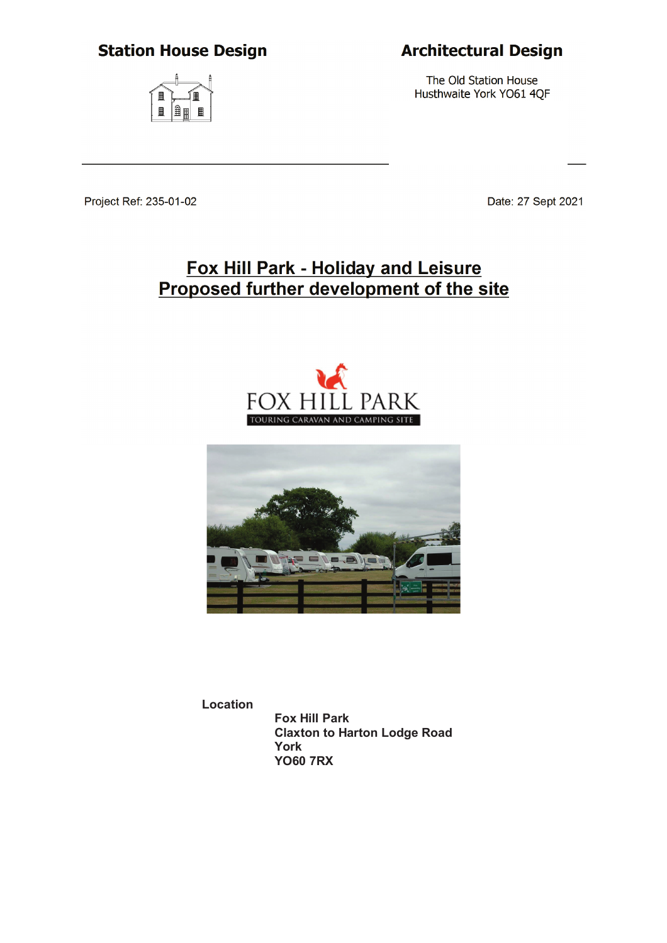# **Station House Design**

# $\blacksquare$ 旧

# **Architectural Design**

The Old Station House Husthwaite York YO61 4QF

Project Ref: 235-01-02

Date: 27 Sept 2021

# Fox Hill Park - Holiday and Leisure Proposed further development of the site





**Location Fox Hill Park Claxton to Harton Lodge Road**

**York YO60 7RX**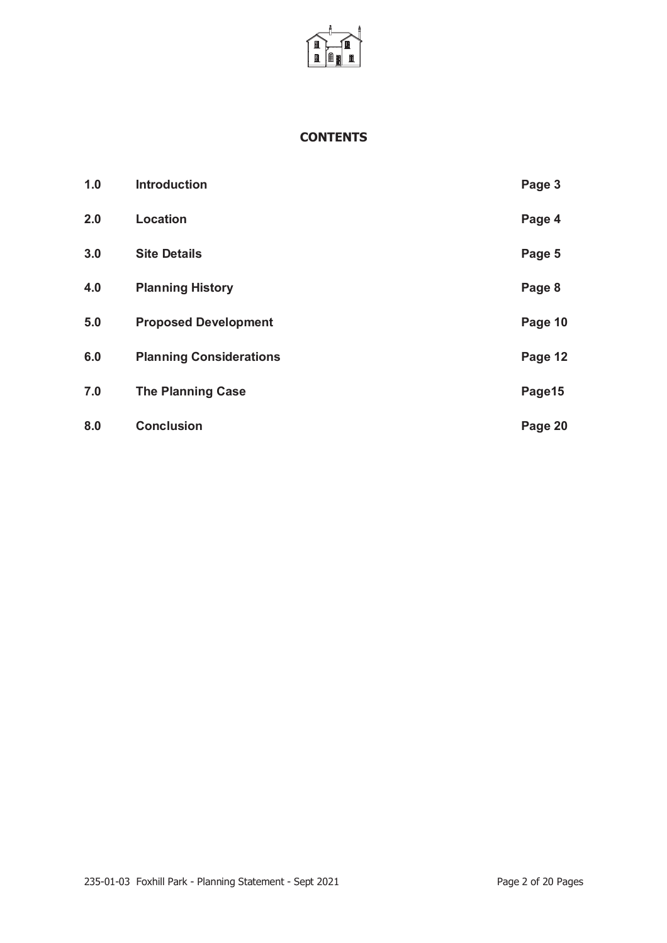

#### **CONTENTS**

| 1.0 | <b>Introduction</b>            | Page 3  |
|-----|--------------------------------|---------|
| 2.0 | Location                       | Page 4  |
| 3.0 | <b>Site Details</b>            | Page 5  |
| 4.0 | <b>Planning History</b>        | Page 8  |
| 5.0 | <b>Proposed Development</b>    | Page 10 |
| 6.0 | <b>Planning Considerations</b> | Page 12 |
| 7.0 | <b>The Planning Case</b>       | Page15  |
| 8.0 | <b>Conclusion</b>              | Page 20 |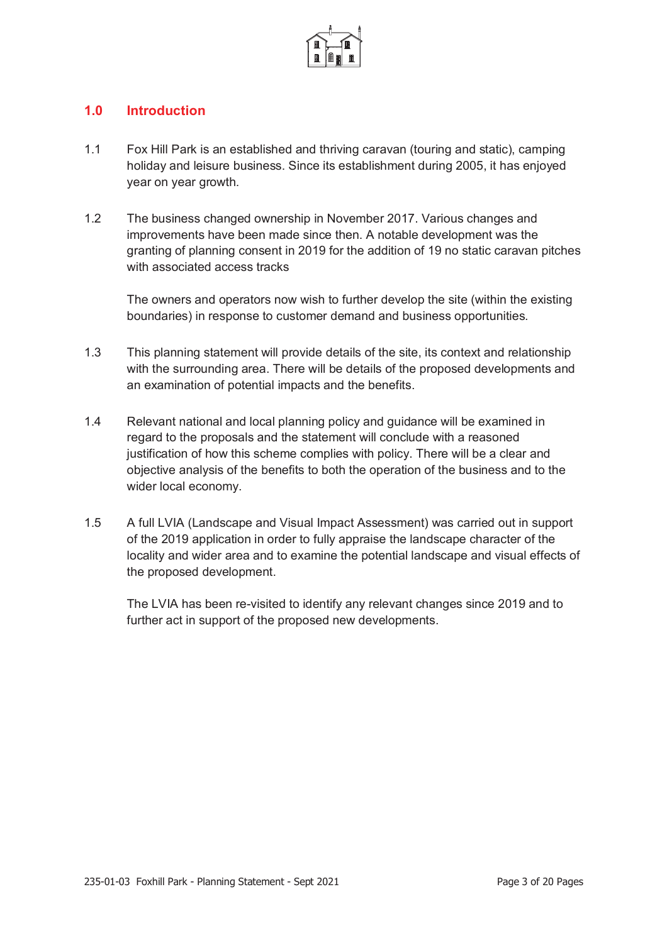

### **1.0 Introduction**

- 1.1 Fox Hill Park is an established and thriving caravan (touring and static), camping holiday and leisure business. Since its establishment during 2005, it has enjoyed year on year growth.
- 1.2 The business changed ownership in November 2017. Various changes and improvements have been made since then. A notable development was the granting of planning consent in 2019 for the addition of 19 no static caravan pitches with associated access tracks

The owners and operators now wish to further develop the site (within the existing boundaries) in response to customer demand and business opportunities.

- 1.3 This planning statement will provide details of the site, its context and relationship with the surrounding area. There will be details of the proposed developments and an examination of potential impacts and the benefits.
- 1.4 Relevant national and local planning policy and guidance will be examined in regard to the proposals and the statement will conclude with a reasoned justification of how this scheme complies with policy. There will be a clear and objective analysis of the benefits to both the operation of the business and to the wider local economy.
- 1.5 A full LVIA (Landscape and Visual Impact Assessment) was carried out in support of the 2019 application in order to fully appraise the landscape character of the locality and wider area and to examine the potential landscape and visual effects of the proposed development.

The LVIA has been re-visited to identify any relevant changes since 2019 and to further act in support of the proposed new developments.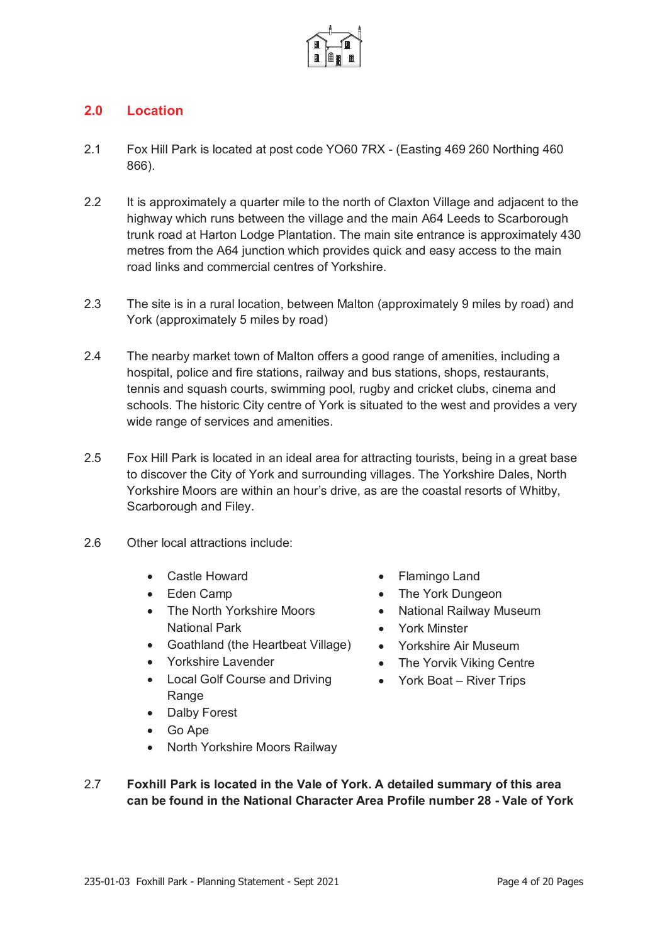

# **2.0 Location**

- 2.1 Fox Hill Park is located at post code YO60 7RX (Easting 469 260 Northing 460 866).
- 2.2 It is approximately a quarter mile to the north of Claxton Village and adjacent to the highway which runs between the village and the main A64 Leeds to Scarborough trunk road at Harton Lodge Plantation. The main site entrance is approximately 430 metres from the A64 junction which provides quick and easy access to the main road links and commercial centres of Yorkshire.
- 2.3 The site is in a rural location, between Malton (approximately 9 miles by road) and York (approximately 5 miles by road)
- 2.4 The nearby market town of Malton offers a good range of amenities, including a hospital, police and fire stations, railway and bus stations, shops, restaurants, tennis and squash courts, swimming pool, rugby and cricket clubs, cinema and schools. The historic City centre of York is situated to the west and provides a very wide range of services and amenities.
- 2.5 Fox Hill Park is located in an ideal area for attracting tourists, being in a great base to discover the City of York and surrounding villages. The Yorkshire Dales, North Yorkshire Moors are within an hour's drive, as are the coastal resorts of Whitby, Scarborough and Filey.
- 2.6 Other local attractions include:
	- Castle Howard
	- Eden Camp
	- The North Yorkshire Moors National Park
	- Goathland (the Heartbeat Village)
	- Yorkshire Lavender
	- Local Golf Course and Driving Range
	- Dalby Forest
	- $\bullet$  Go Ape
	- x North Yorkshire Moors Railway
- Flamingo Land
- The York Dungeon
- National Railway Museum
- York Minster
- Yorkshire Air Museum
- The Yorvik Viking Centre
- $\bullet$  York Boat River Trips
- 2.7 **Foxhill Park is located in the Vale of York. A detailed summary of this area can be found in the National Character Area Profile number 28 - Vale of York**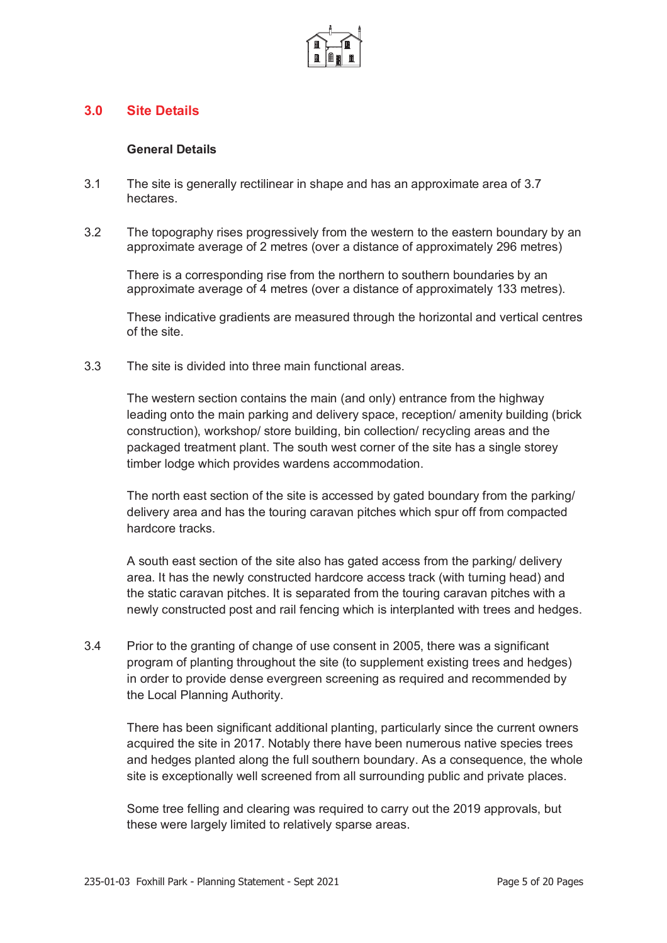

#### **3.0 Site Details**

#### **General Details**

- 3.1 The site is generally rectilinear in shape and has an approximate area of 3.7 hectares.
- 3.2 The topography rises progressively from the western to the eastern boundary by an approximate average of 2 metres (over a distance of approximately 296 metres)

There is a corresponding rise from the northern to southern boundaries by an approximate average of 4 metres (over a distance of approximately 133 metres).

These indicative gradients are measured through the horizontal and vertical centres of the site.

3.3 The site is divided into three main functional areas.

The western section contains the main (and only) entrance from the highway leading onto the main parking and delivery space, reception/ amenity building (brick construction), workshop/ store building, bin collection/ recycling areas and the packaged treatment plant. The south west corner of the site has a single storey timber lodge which provides wardens accommodation.

The north east section of the site is accessed by gated boundary from the parking/ delivery area and has the touring caravan pitches which spur off from compacted hardcore tracks.

A south east section of the site also has gated access from the parking/ delivery area. It has the newly constructed hardcore access track (with turning head) and the static caravan pitches. It is separated from the touring caravan pitches with a newly constructed post and rail fencing which is interplanted with trees and hedges.

3.4 Prior to the granting of change of use consent in 2005, there was a significant program of planting throughout the site (to supplement existing trees and hedges) in order to provide dense evergreen screening as required and recommended by the Local Planning Authority.

There has been significant additional planting, particularly since the current owners acquired the site in 2017. Notably there have been numerous native species trees and hedges planted along the full southern boundary. As a consequence, the whole site is exceptionally well screened from all surrounding public and private places.

Some tree felling and clearing was required to carry out the 2019 approvals, but these were largely limited to relatively sparse areas.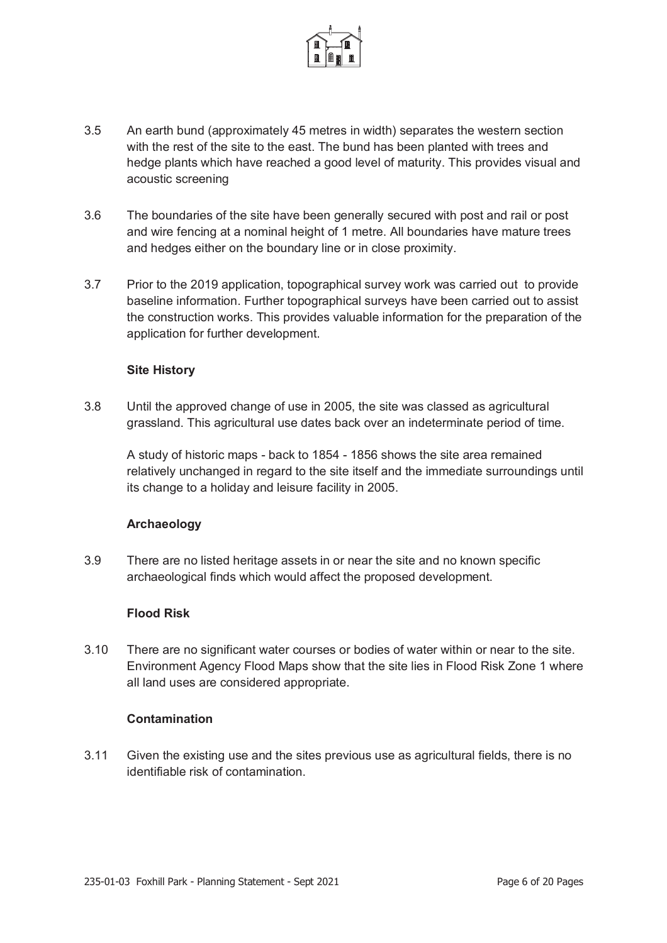

- 3.5 An earth bund (approximately 45 metres in width) separates the western section with the rest of the site to the east. The bund has been planted with trees and hedge plants which have reached a good level of maturity. This provides visual and acoustic screening
- 3.6 The boundaries of the site have been generally secured with post and rail or post and wire fencing at a nominal height of 1 metre. All boundaries have mature trees and hedges either on the boundary line or in close proximity.
- 3.7 Prior to the 2019 application, topographical survey work was carried out to provide baseline information. Further topographical surveys have been carried out to assist the construction works. This provides valuable information for the preparation of the application for further development.

#### **Site History**

3.8 Until the approved change of use in 2005, the site was classed as agricultural grassland. This agricultural use dates back over an indeterminate period of time.

A study of historic maps - back to 1854 - 1856 shows the site area remained relatively unchanged in regard to the site itself and the immediate surroundings until its change to a holiday and leisure facility in 2005.

#### **Archaeology**

3.9 There are no listed heritage assets in or near the site and no known specific archaeological finds which would affect the proposed development.

#### **Flood Risk**

3.10 There are no significant water courses or bodies of water within or near to the site. Environment Agency Flood Maps show that the site lies in Flood Risk Zone 1 where all land uses are considered appropriate.

#### **Contamination**

3.11 Given the existing use and the sites previous use as agricultural fields, there is no identifiable risk of contamination.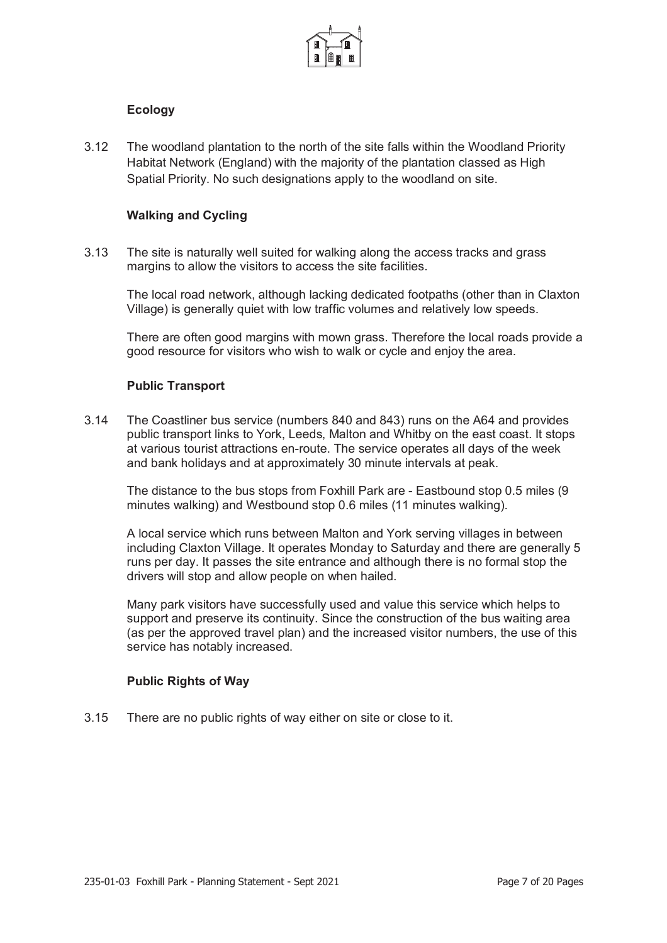

#### **Ecology**

3.12 The woodland plantation to the north of the site falls within the Woodland Priority Habitat Network (England) with the majority of the plantation classed as High Spatial Priority. No such designations apply to the woodland on site.

#### **Walking and Cycling**

3.13 The site is naturally well suited for walking along the access tracks and grass margins to allow the visitors to access the site facilities.

The local road network, although lacking dedicated footpaths (other than in Claxton Village) is generally quiet with low traffic volumes and relatively low speeds.

There are often good margins with mown grass. Therefore the local roads provide a good resource for visitors who wish to walk or cycle and enjoy the area.

#### **Public Transport**

3.14 The Coastliner bus service (numbers 840 and 843) runs on the A64 and provides public transport links to York, Leeds, Malton and Whitby on the east coast. It stops at various tourist attractions en-route. The service operates all days of the week and bank holidays and at approximately 30 minute intervals at peak.

The distance to the bus stops from Foxhill Park are - Eastbound stop 0.5 miles (9 minutes walking) and Westbound stop 0.6 miles (11 minutes walking).

A local service which runs between Malton and York serving villages in between including Claxton Village. It operates Monday to Saturday and there are generally 5 runs per day. It passes the site entrance and although there is no formal stop the drivers will stop and allow people on when hailed.

Many park visitors have successfully used and value this service which helps to support and preserve its continuity. Since the construction of the bus waiting area (as per the approved travel plan) and the increased visitor numbers, the use of this service has notably increased.

#### **Public Rights of Way**

3.15 There are no public rights of way either on site or close to it.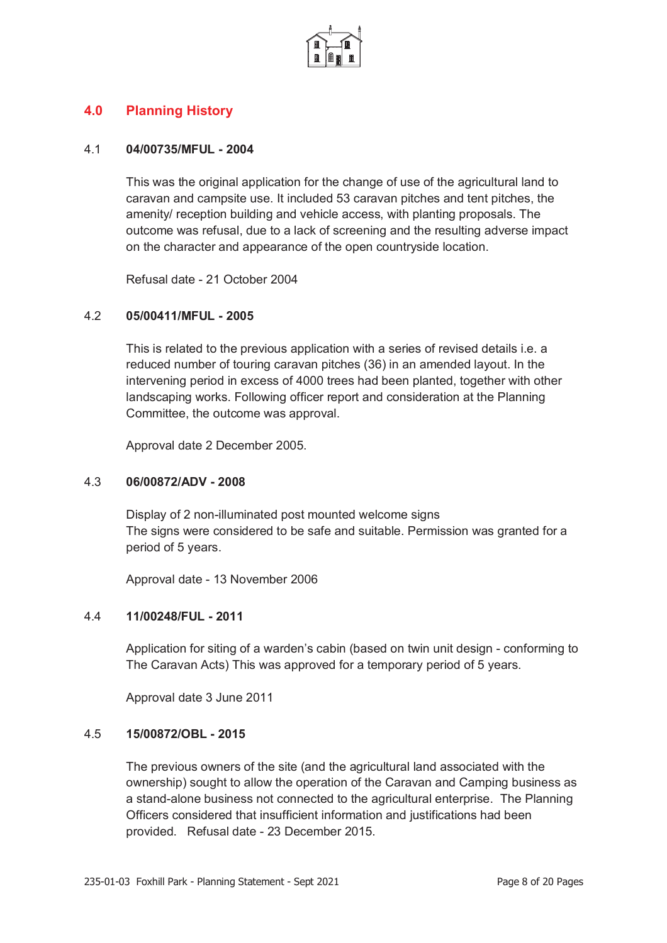

### **4.0 Planning History**

#### 4.1 **04/00735/MFUL - 2004**

This was the original application for the change of use of the agricultural land to caravan and campsite use. It included 53 caravan pitches and tent pitches, the amenity/ reception building and vehicle access, with planting proposals. The outcome was refusal, due to a lack of screening and the resulting adverse impact on the character and appearance of the open countryside location.

Refusal date - 21 October 2004

#### 4.2 **05/00411/MFUL - 2005**

This is related to the previous application with a series of revised details i.e. a reduced number of touring caravan pitches (36) in an amended layout. In the intervening period in excess of 4000 trees had been planted, together with other landscaping works. Following officer report and consideration at the Planning Committee, the outcome was approval.

Approval date 2 December 2005.

#### 4.3 **06/00872/ADV - 2008**

Display of 2 non-illuminated post mounted welcome signs The signs were considered to be safe and suitable. Permission was granted for a period of 5 years.

Approval date - 13 November 2006

#### 4.4 **11/00248/FUL - 2011**

Application for siting of a warden's cabin (based on twin unit design - conforming to The Caravan Acts) This was approved for a temporary period of 5 years.

Approval date 3 June 2011

#### 4.5 **15/00872/OBL - 2015**

The previous owners of the site (and the agricultural land associated with the ownership) sought to allow the operation of the Caravan and Camping business as a stand-alone business not connected to the agricultural enterprise. The Planning Officers considered that insufficient information and justifications had been provided. Refusal date - 23 December 2015.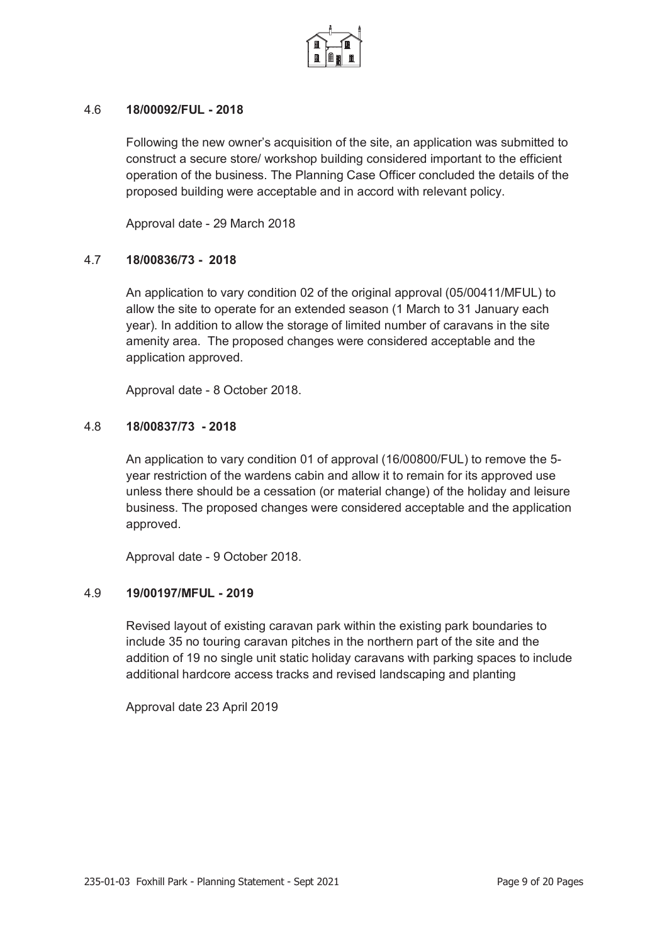

#### 4.6 **18/00092/FUL - 2018**

Following the new owner's acquisition of the site, an application was submitted to construct a secure store/ workshop building considered important to the efficient operation of the business. The Planning Case Officer concluded the details of the proposed building were acceptable and in accord with relevant policy.

Approval date - 29 March 2018

#### 4.7 **18/00836/73 - 2018**

An application to vary condition 02 of the original approval (05/00411/MFUL) to allow the site to operate for an extended season (1 March to 31 January each year). In addition to allow the storage of limited number of caravans in the site amenity area. The proposed changes were considered acceptable and the application approved.

Approval date - 8 October 2018.

#### 4.8 **18/00837/73 - 2018**

An application to vary condition 01 of approval (16/00800/FUL) to remove the 5 year restriction of the wardens cabin and allow it to remain for its approved use unless there should be a cessation (or material change) of the holiday and leisure business. The proposed changes were considered acceptable and the application approved.

Approval date - 9 October 2018.

#### 4.9 **19/00197/MFUL - 2019**

Revised layout of existing caravan park within the existing park boundaries to include 35 no touring caravan pitches in the northern part of the site and the addition of 19 no single unit static holiday caravans with parking spaces to include additional hardcore access tracks and revised landscaping and planting

Approval date 23 April 2019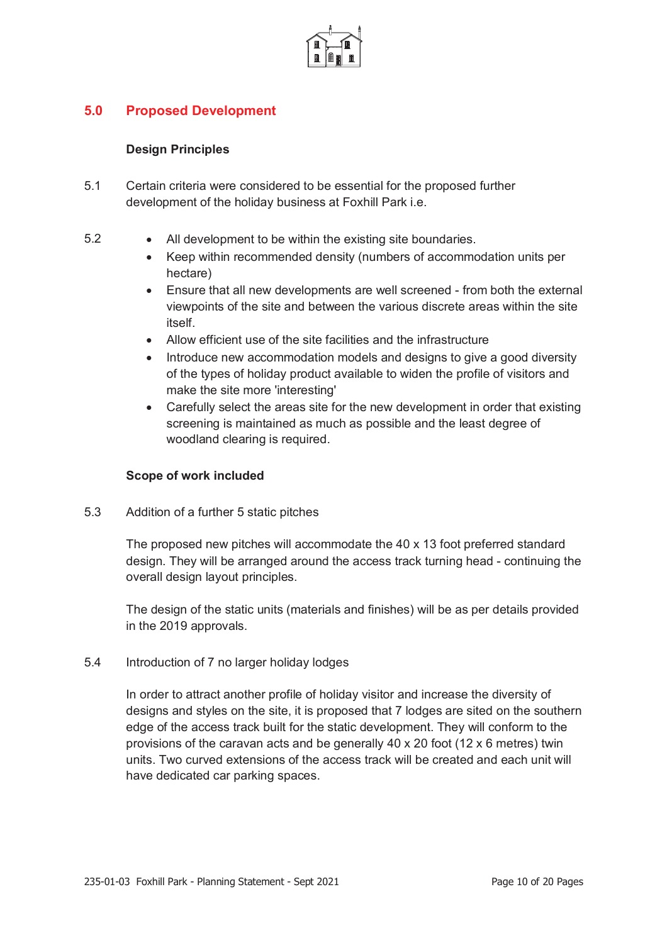

# **5.0 Proposed Development**

#### **Design Principles**

- 5.1 Certain criteria were considered to be essential for the proposed further development of the holiday business at Foxhill Park i.e.
- 5.2 All development to be within the existing site boundaries.
	- Keep within recommended density (numbers of accommodation units per hectare)
	- Ensure that all new developments are well screened from both the external viewpoints of the site and between the various discrete areas within the site itself.
	- x Allow efficient use of the site facilities and the infrastructure
	- Introduce new accommodation models and designs to give a good diversity of the types of holiday product available to widen the profile of visitors and make the site more 'interesting'
	- Carefully select the areas site for the new development in order that existing screening is maintained as much as possible and the least degree of woodland clearing is required.

#### **Scope of work included**

5.3 Addition of a further 5 static pitches

The proposed new pitches will accommodate the 40 x 13 foot preferred standard design. They will be arranged around the access track turning head - continuing the overall design layout principles.

The design of the static units (materials and finishes) will be as per details provided in the 2019 approvals.

#### 5.4 Introduction of 7 no larger holiday lodges

In order to attract another profile of holiday visitor and increase the diversity of designs and styles on the site, it is proposed that 7 lodges are sited on the southern edge of the access track built for the static development. They will conform to the provisions of the caravan acts and be generally 40 x 20 foot (12 x 6 metres) twin units. Two curved extensions of the access track will be created and each unit will have dedicated car parking spaces.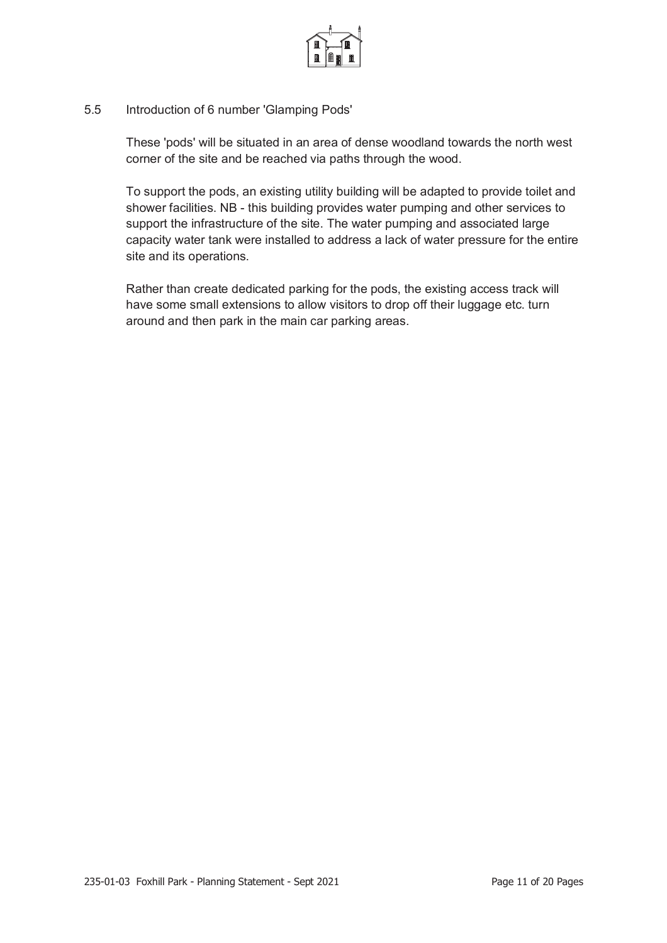

#### 5.5 Introduction of 6 number 'Glamping Pods'

These 'pods' will be situated in an area of dense woodland towards the north west corner of the site and be reached via paths through the wood.

To support the pods, an existing utility building will be adapted to provide toilet and shower facilities. NB - this building provides water pumping and other services to support the infrastructure of the site. The water pumping and associated large capacity water tank were installed to address a lack of water pressure for the entire site and its operations.

Rather than create dedicated parking for the pods, the existing access track will have some small extensions to allow visitors to drop off their luggage etc. turn around and then park in the main car parking areas.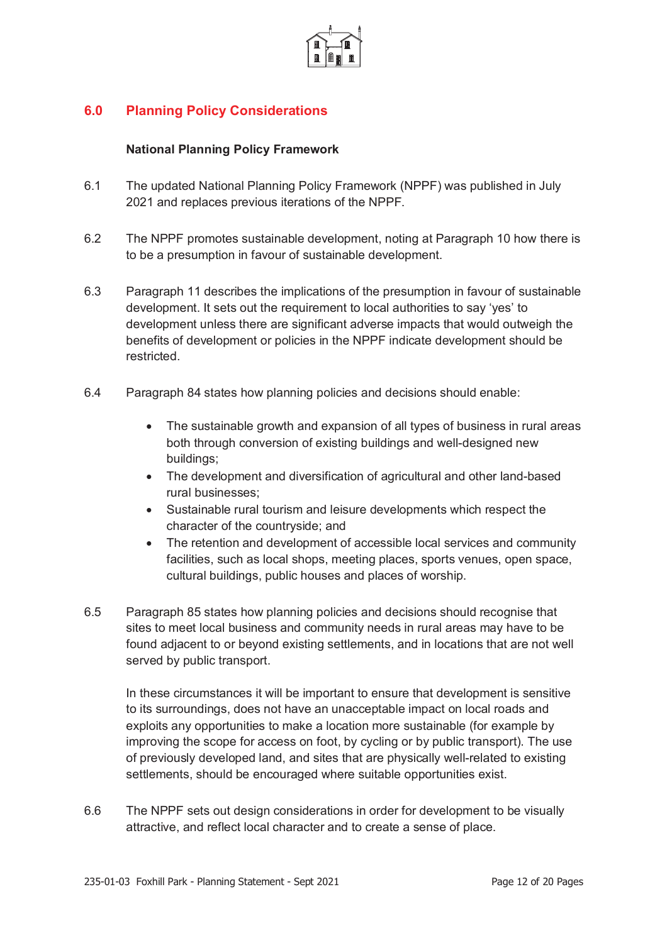

# **6.0 Planning Policy Considerations**

#### **National Planning Policy Framework**

- 6.1 The updated National Planning Policy Framework (NPPF) was published in July 2021 and replaces previous iterations of the NPPF.
- 6.2 The NPPF promotes sustainable development, noting at Paragraph 10 how there is to be a presumption in favour of sustainable development.
- 6.3 Paragraph 11 describes the implications of the presumption in favour of sustainable development. It sets out the requirement to local authorities to say 'yes' to development unless there are significant adverse impacts that would outweigh the benefits of development or policies in the NPPF indicate development should be restricted.
- 6.4 Paragraph 84 states how planning policies and decisions should enable:
	- The sustainable growth and expansion of all types of business in rural areas both through conversion of existing buildings and well-designed new buildings;
	- The development and diversification of agricultural and other land-based rural businesses;
	- Sustainable rural tourism and leisure developments which respect the character of the countryside; and
	- The retention and development of accessible local services and community facilities, such as local shops, meeting places, sports venues, open space, cultural buildings, public houses and places of worship.
- 6.5 Paragraph 85 states how planning policies and decisions should recognise that sites to meet local business and community needs in rural areas may have to be found adjacent to or beyond existing settlements, and in locations that are not well served by public transport.

In these circumstances it will be important to ensure that development is sensitive to its surroundings, does not have an unacceptable impact on local roads and exploits any opportunities to make a location more sustainable (for example by improving the scope for access on foot, by cycling or by public transport). The use of previously developed land, and sites that are physically well-related to existing settlements, should be encouraged where suitable opportunities exist.

6.6 The NPPF sets out design considerations in order for development to be visually attractive, and reflect local character and to create a sense of place.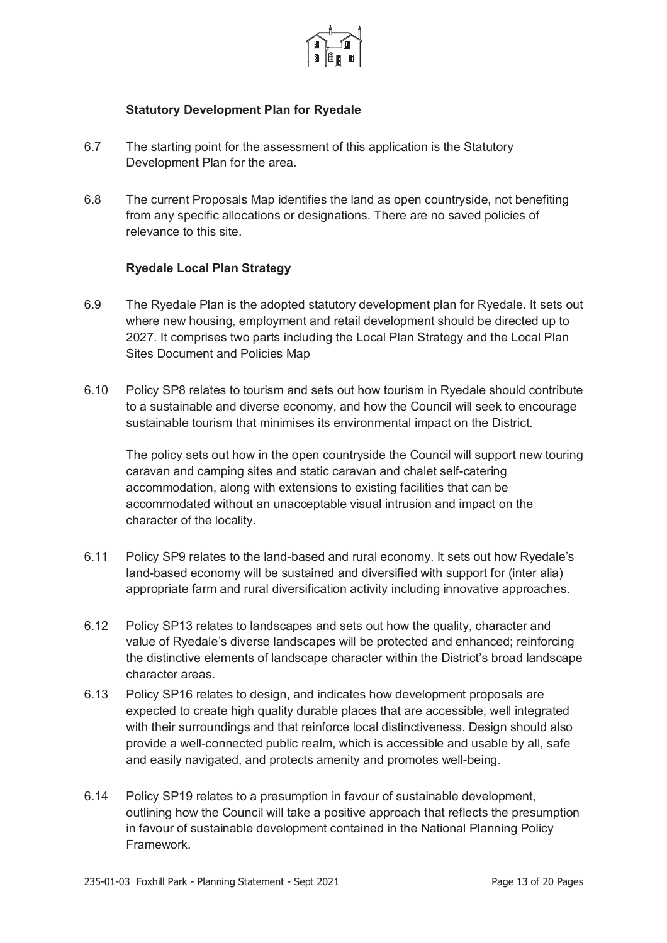

#### **Statutory Development Plan for Ryedale**

- 6.7 The starting point for the assessment of this application is the Statutory Development Plan for the area.
- 6.8 The current Proposals Map identifies the land as open countryside, not benefiting from any specific allocations or designations. There are no saved policies of relevance to this site.

#### **Ryedale Local Plan Strategy**

- 6.9 The Ryedale Plan is the adopted statutory development plan for Ryedale. It sets out where new housing, employment and retail development should be directed up to 2027. It comprises two parts including the Local Plan Strategy and the Local Plan Sites Document and Policies Map
- 6.10 Policy SP8 relates to tourism and sets out how tourism in Ryedale should contribute to a sustainable and diverse economy, and how the Council will seek to encourage sustainable tourism that minimises its environmental impact on the District.

The policy sets out how in the open countryside the Council will support new touring caravan and camping sites and static caravan and chalet self-catering accommodation, along with extensions to existing facilities that can be accommodated without an unacceptable visual intrusion and impact on the character of the locality.

- 6.11 Policy SP9 relates to the land-based and rural economy. It sets out how Ryedale's land-based economy will be sustained and diversified with support for (inter alia) appropriate farm and rural diversification activity including innovative approaches.
- 6.12 Policy SP13 relates to landscapes and sets out how the quality, character and value of Ryedale's diverse landscapes will be protected and enhanced; reinforcing the distinctive elements of landscape character within the District's broad landscape character areas.
- 6.13 Policy SP16 relates to design, and indicates how development proposals are expected to create high quality durable places that are accessible, well integrated with their surroundings and that reinforce local distinctiveness. Design should also provide a well-connected public realm, which is accessible and usable by all, safe and easily navigated, and protects amenity and promotes well-being.
- 6.14 Policy SP19 relates to a presumption in favour of sustainable development, outlining how the Council will take a positive approach that reflects the presumption in favour of sustainable development contained in the National Planning Policy Framework.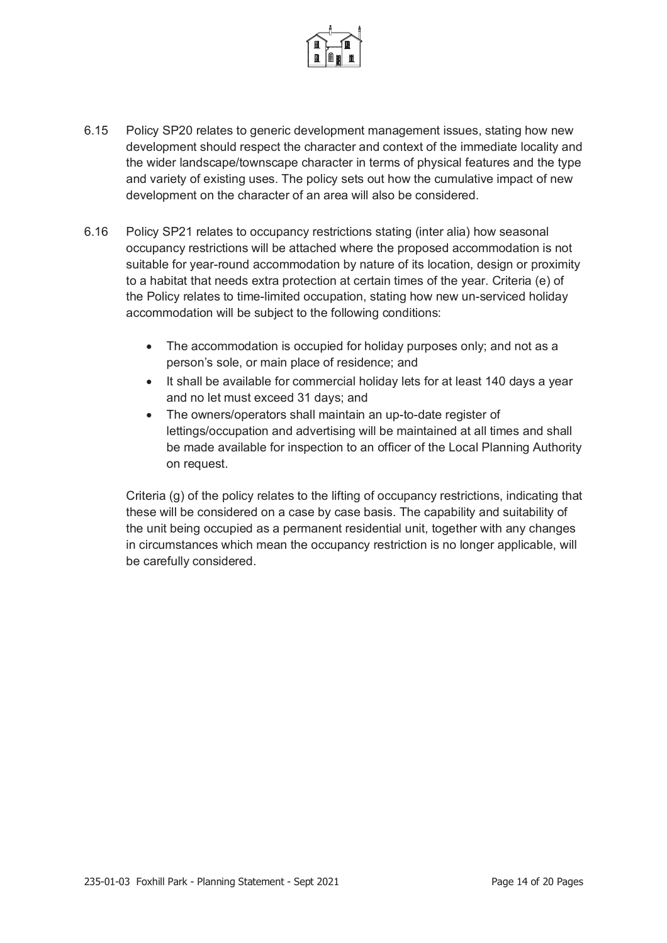

- 6.15 Policy SP20 relates to generic development management issues, stating how new development should respect the character and context of the immediate locality and the wider landscape/townscape character in terms of physical features and the type and variety of existing uses. The policy sets out how the cumulative impact of new development on the character of an area will also be considered.
- 6.16 Policy SP21 relates to occupancy restrictions stating (inter alia) how seasonal occupancy restrictions will be attached where the proposed accommodation is not suitable for year-round accommodation by nature of its location, design or proximity to a habitat that needs extra protection at certain times of the year. Criteria (e) of the Policy relates to time-limited occupation, stating how new un-serviced holiday accommodation will be subject to the following conditions:
	- $\bullet$  The accommodation is occupied for holiday purposes only; and not as a person's sole, or main place of residence; and
	- It shall be available for commercial holiday lets for at least 140 days a year and no let must exceed 31 days; and
	- The owners/operators shall maintain an up-to-date register of lettings/occupation and advertising will be maintained at all times and shall be made available for inspection to an officer of the Local Planning Authority on request.

Criteria (g) of the policy relates to the lifting of occupancy restrictions, indicating that these will be considered on a case by case basis. The capability and suitability of the unit being occupied as a permanent residential unit, together with any changes in circumstances which mean the occupancy restriction is no longer applicable, will be carefully considered.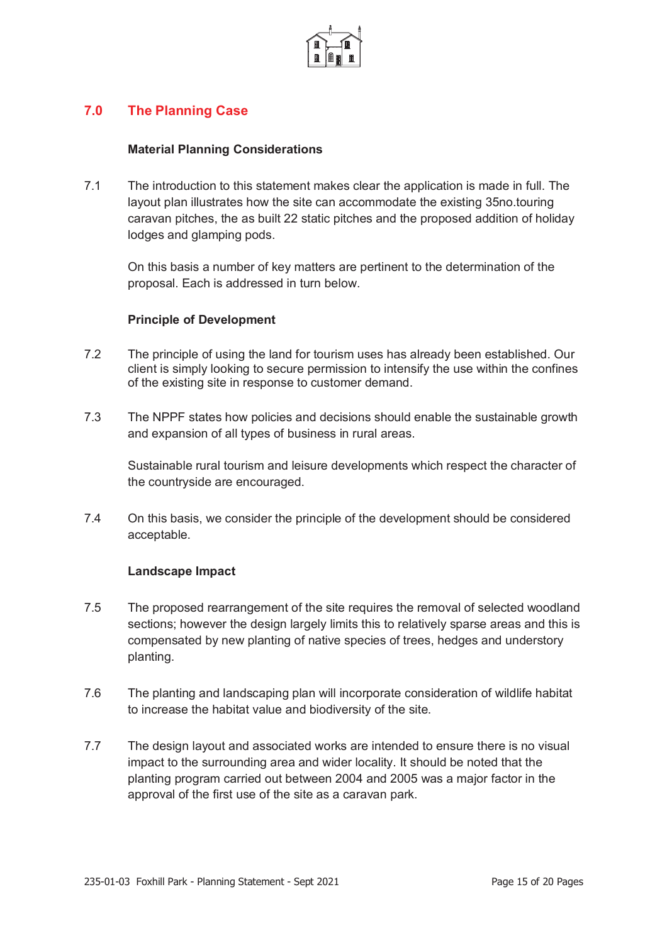

## **7.0 The Planning Case**

#### **Material Planning Considerations**

7.1 The introduction to this statement makes clear the application is made in full. The layout plan illustrates how the site can accommodate the existing 35no.touring caravan pitches, the as built 22 static pitches and the proposed addition of holiday lodges and glamping pods.

On this basis a number of key matters are pertinent to the determination of the proposal. Each is addressed in turn below.

#### **Principle of Development**

- 7.2 The principle of using the land for tourism uses has already been established. Our client is simply looking to secure permission to intensify the use within the confines of the existing site in response to customer demand.
- 7.3 The NPPF states how policies and decisions should enable the sustainable growth and expansion of all types of business in rural areas.

Sustainable rural tourism and leisure developments which respect the character of the countryside are encouraged.

7.4 On this basis, we consider the principle of the development should be considered acceptable.

#### **Landscape Impact**

- 7.5 The proposed rearrangement of the site requires the removal of selected woodland sections; however the design largely limits this to relatively sparse areas and this is compensated by new planting of native species of trees, hedges and understory planting.
- 7.6 The planting and landscaping plan will incorporate consideration of wildlife habitat to increase the habitat value and biodiversity of the site.
- 7.7 The design layout and associated works are intended to ensure there is no visual impact to the surrounding area and wider locality. It should be noted that the planting program carried out between 2004 and 2005 was a major factor in the approval of the first use of the site as a caravan park.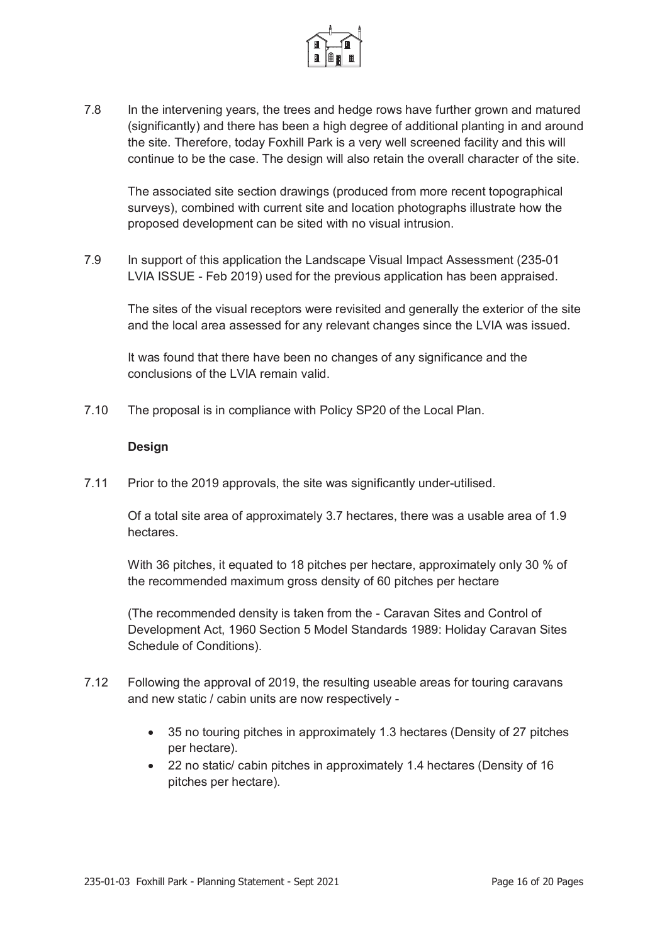

7.8 In the intervening years, the trees and hedge rows have further grown and matured (significantly) and there has been a high degree of additional planting in and around the site. Therefore, today Foxhill Park is a very well screened facility and this will continue to be the case. The design will also retain the overall character of the site.

The associated site section drawings (produced from more recent topographical surveys), combined with current site and location photographs illustrate how the proposed development can be sited with no visual intrusion.

7.9 In support of this application the Landscape Visual Impact Assessment (235-01 LVIA ISSUE - Feb 2019) used for the previous application has been appraised.

The sites of the visual receptors were revisited and generally the exterior of the site and the local area assessed for any relevant changes since the LVIA was issued.

It was found that there have been no changes of any significance and the conclusions of the LVIA remain valid.

7.10 The proposal is in compliance with Policy SP20 of the Local Plan.

#### **Design**

7.11 Prior to the 2019 approvals, the site was significantly under-utilised.

Of a total site area of approximately 3.7 hectares, there was a usable area of 1.9 hectares.

With 36 pitches, it equated to 18 pitches per hectare, approximately only 30 % of the recommended maximum gross density of 60 pitches per hectare

(The recommended density is taken from the - Caravan Sites and Control of Development Act, 1960 Section 5 Model Standards 1989: Holiday Caravan Sites Schedule of Conditions).

- 7.12 Following the approval of 2019, the resulting useable areas for touring caravans and new static / cabin units are now respectively -
	- 35 no touring pitches in approximately 1.3 hectares (Density of 27 pitches per hectare).
	- 22 no static/ cabin pitches in approximately 1.4 hectares (Density of 16 pitches per hectare).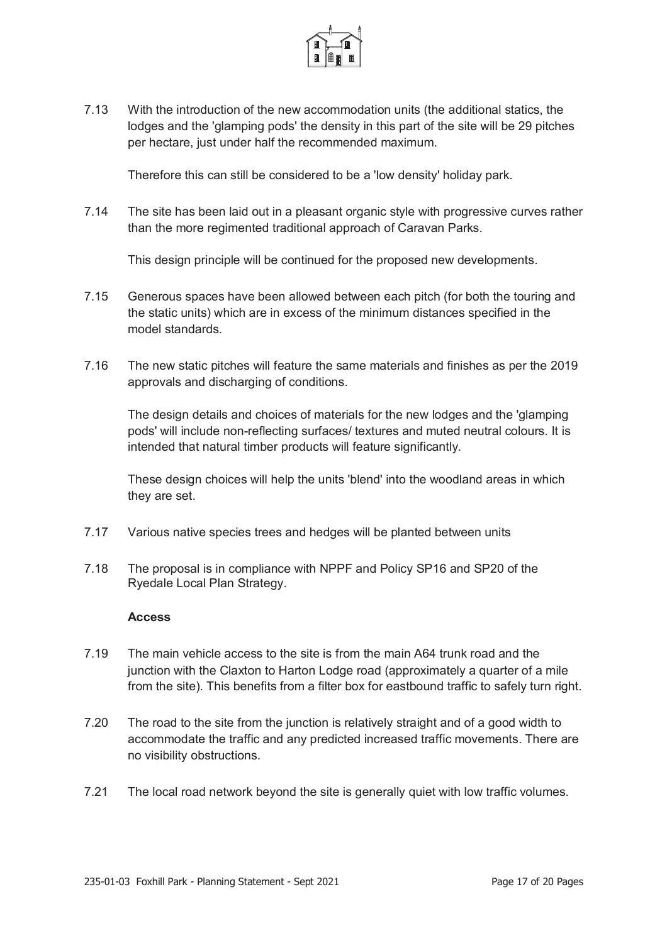

7.13 With the introduction of the new accommodation units (the additional statics, the lodges and the 'glamping pods' the density in this part of the site will be 29 pitches per hectare, just under half the recommended maximum.

Therefore this can still be considered to be a 'low density' holiday park.

7.14 The site has been laid out in a pleasant organic style with progressive curves rather than the more regimented traditional approach of Caravan Parks.

This design principle will be continued for the proposed new developments.

- 7.15 Generous spaces have been allowed between each pitch (for both the touring and the static units) which are in excess of the minimum distances specified in the model standards.
- 7.16 The new static pitches will feature the same materials and finishes as per the 2019 approvals and discharging of conditions.

The design details and choices of materials for the new lodges and the 'glamping pods' will include non-reflecting surfaces/ textures and muted neutral colours. It is intended that natural timber products will feature significantly.

These design choices will help the units 'blend' into the woodland areas in which they are set.

- 7.17 Various native species trees and hedges will be planted between units
- 7.18 The proposal is in compliance with NPPF and Policy SP16 and SP20 of the Ryedale Local Plan Strategy.

#### **Access**

- 7.19 The main vehicle access to the site is from the main A64 trunk road and the junction with the Claxton to Harton Lodge road (approximately a quarter of a mile from the site). This benefits from a filter box for eastbound traffic to safely turn right.
- 7.20 The road to the site from the junction is relatively straight and of a good width to accommodate the traffic and any predicted increased traffic movements. There are no visibility obstructions.
- 7.21 The local road network beyond the site is generally quiet with low traffic volumes.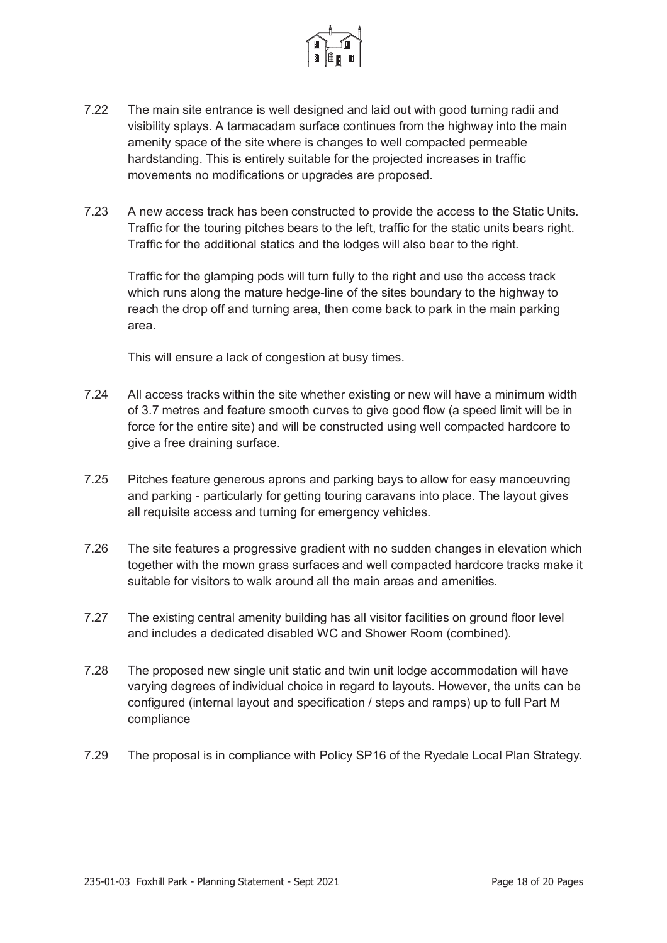

- 7.22 The main site entrance is well designed and laid out with good turning radii and visibility splays. A tarmacadam surface continues from the highway into the main amenity space of the site where is changes to well compacted permeable hardstanding. This is entirely suitable for the projected increases in traffic movements no modifications or upgrades are proposed.
- 7.23 A new access track has been constructed to provide the access to the Static Units. Traffic for the touring pitches bears to the left, traffic for the static units bears right. Traffic for the additional statics and the lodges will also bear to the right.

Traffic for the glamping pods will turn fully to the right and use the access track which runs along the mature hedge-line of the sites boundary to the highway to reach the drop off and turning area, then come back to park in the main parking area.

This will ensure a lack of congestion at busy times.

- 7.24 All access tracks within the site whether existing or new will have a minimum width of 3.7 metres and feature smooth curves to give good flow (a speed limit will be in force for the entire site) and will be constructed using well compacted hardcore to give a free draining surface.
- 7.25 Pitches feature generous aprons and parking bays to allow for easy manoeuvring and parking - particularly for getting touring caravans into place. The layout gives all requisite access and turning for emergency vehicles.
- 7.26 The site features a progressive gradient with no sudden changes in elevation which together with the mown grass surfaces and well compacted hardcore tracks make it suitable for visitors to walk around all the main areas and amenities.
- 7.27 The existing central amenity building has all visitor facilities on ground floor level and includes a dedicated disabled WC and Shower Room (combined).
- 7.28 The proposed new single unit static and twin unit lodge accommodation will have varying degrees of individual choice in regard to layouts. However, the units can be configured (internal layout and specification / steps and ramps) up to full Part M compliance
- 7.29 The proposal is in compliance with Policy SP16 of the Ryedale Local Plan Strategy.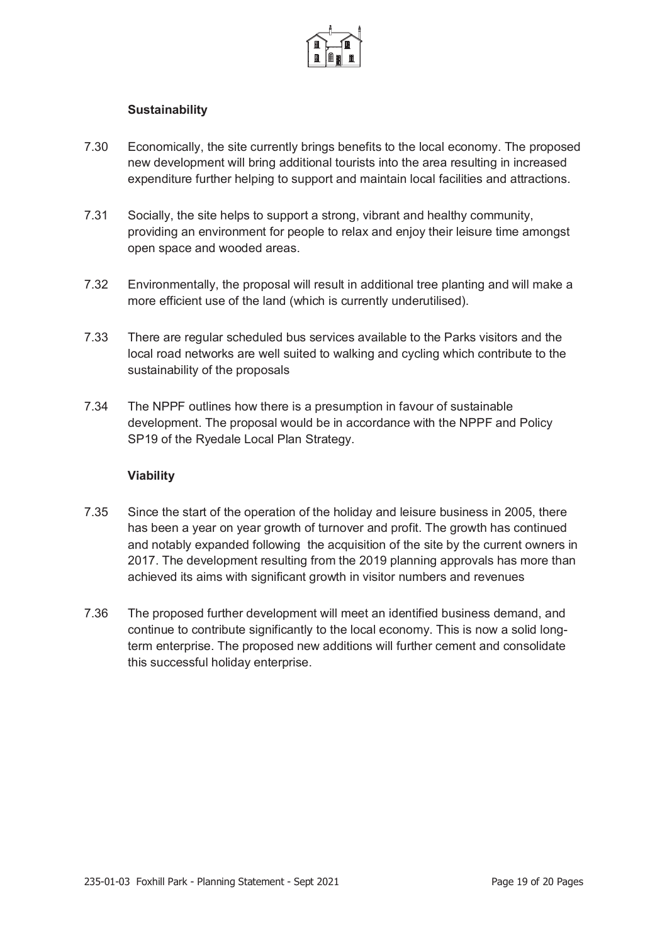

#### **Sustainability**

- 7.30 Economically, the site currently brings benefits to the local economy. The proposed new development will bring additional tourists into the area resulting in increased expenditure further helping to support and maintain local facilities and attractions.
- 7.31 Socially, the site helps to support a strong, vibrant and healthy community, providing an environment for people to relax and enjoy their leisure time amongst open space and wooded areas.
- 7.32 Environmentally, the proposal will result in additional tree planting and will make a more efficient use of the land (which is currently underutilised).
- 7.33 There are regular scheduled bus services available to the Parks visitors and the local road networks are well suited to walking and cycling which contribute to the sustainability of the proposals
- 7.34 The NPPF outlines how there is a presumption in favour of sustainable development. The proposal would be in accordance with the NPPF and Policy SP19 of the Ryedale Local Plan Strategy.

#### **Viability**

- 7.35 Since the start of the operation of the holiday and leisure business in 2005, there has been a year on year growth of turnover and profit. The growth has continued and notably expanded following the acquisition of the site by the current owners in 2017. The development resulting from the 2019 planning approvals has more than achieved its aims with significant growth in visitor numbers and revenues
- 7.36 The proposed further development will meet an identified business demand, and continue to contribute significantly to the local economy. This is now a solid longterm enterprise. The proposed new additions will further cement and consolidate this successful holiday enterprise.